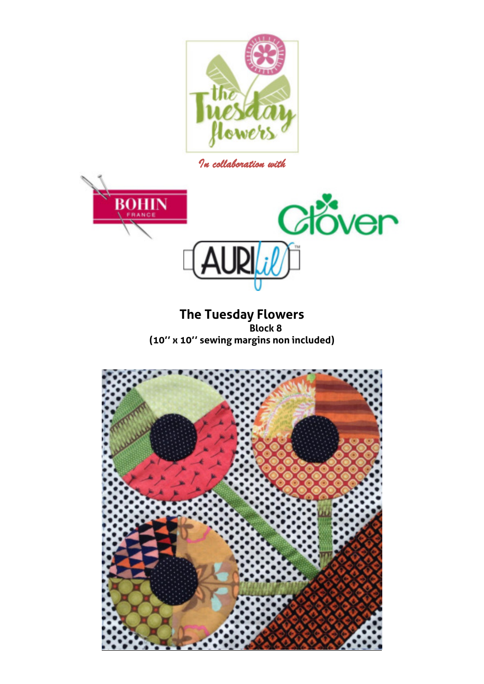

*In collaboration with* 



**The Tuesday Flowers Block 8 (10'' x 10'' sewing margins non included)** 

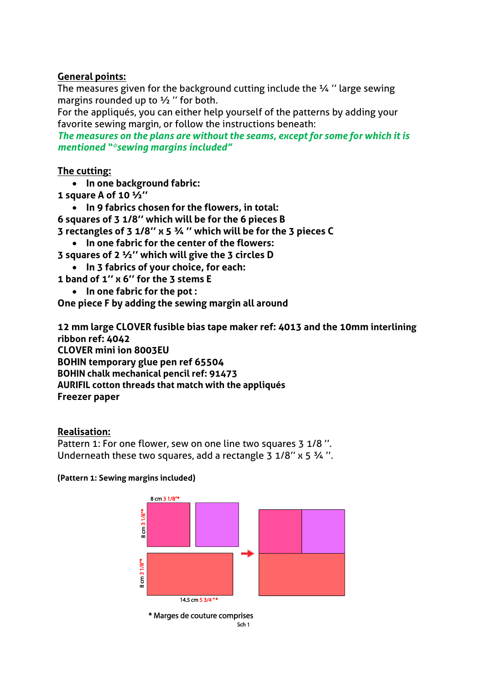# **General points:**

The measures given for the background cutting include the ¼ '' large sewing margins rounded up to ½ '' for both.

For the appliqués, you can either help yourself of the patterns by adding your favorite sewing margin, or follow the instructions beneath:

*The measures on the plans are without the seams, except for some for which it is mentioned "\*sewing margins included"*

## **The cutting:**

- **In one background fabric:**
- **1 square A of 10 ½''**
	- **In 9 fabrics chosen for the flowers, in total:**
- **6 squares of 3 1/8'' which will be for the 6 pieces B**
- **3 rectangles of 3 1/8'' x 5 ¾ '' which will be for the 3 pieces C**
- **In one fabric for the center of the flowers:**
- **3 squares of 2 ½'' which will give the 3 circles D**
- **In 3 fabrics of your choice, for each:**
- **1 band of 1'' x 6'' for the 3 stems E** 
	- **In one fabric for the pot :**
- **One piece F by adding the sewing margin all around**

**12 mm large CLOVER fusible bias tape maker ref: 4013 and the 10mm interlining ribbon ref: 4042 CLOVER mini ion 8003EU BOHIN temporary glue pen ref 65504 BOHIN chalk mechanical pencil ref: 91473 AURIFIL cotton threads that match with the appliqués Freezer paper** 

## **Realisation:**

Pattern 1: For one flower, sew on one line two squares 3 1/8". Underneath these two squares, add a rectangle  $3\frac{1}{8}$ " x  $5\frac{3}{4}$ ".

### **(Pattern 1: Sewing margins included)**

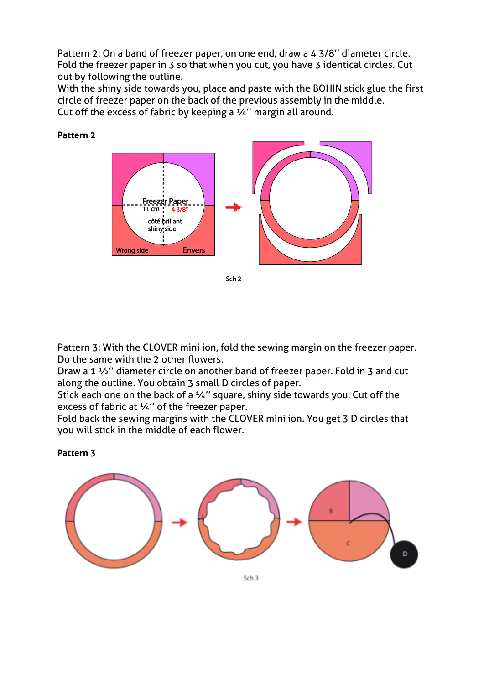Pattern 2: On a band of freezer paper, on one end, draw a 4 3/8'' diameter circle. Fold the freezer paper in 3 so that when you cut, you have 3 identical circles. Cut out by following the outline.

With the shiny side towards you, place and paste with the BOHIN stick glue the first circle of freezer paper on the back of the previous assembly in the middle. Cut off the excess of fabric by keeping a ¼'' margin all around.



**Pattern 2** 

Pattern 3: With the CLOVER mini ion, fold the sewing margin on the freezer paper. Do the same with the 2 other flowers.

Draw a 1 ½'' diameter circle on another band of freezer paper. Fold in 3 and cut along the outline. You obtain 3 small D circles of paper.

Stick each one on the back of a 1/4" square, shiny side towards you. Cut off the excess of fabric at ¼'' of the freezer paper.

Fold back the sewing margins with the CLOVER mini ion. You get 3 D circles that you will stick in the middle of each flower.

**Pattern 3** 

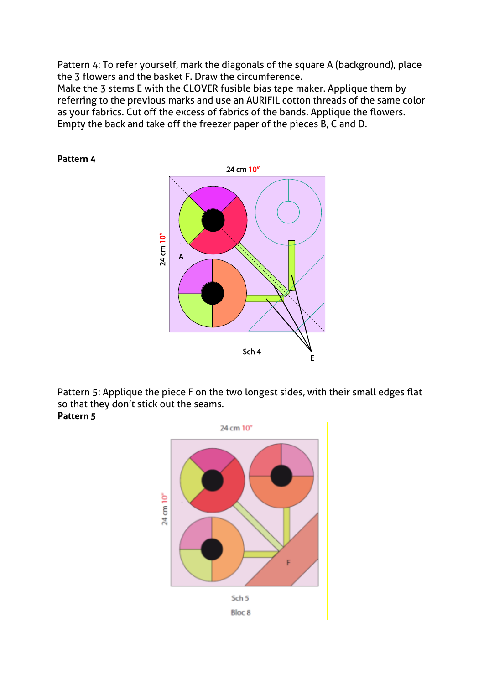Pattern 4: To refer yourself, mark the diagonals of the square A (background), place the 3 flowers and the basket F. Draw the circumference.

Make the 3 stems E with the CLOVER fusible bias tape maker. Applique them by referring to the previous marks and use an AURIFIL cotton threads of the same color as your fabrics. Cut off the excess of fabrics of the bands. Applique the flowers. Empty the back and take off the freezer paper of the pieces B, C and D.

### **Pattern 4**



Pattern 5: Applique the piece F on the two longest sides, with their small edges flat so that they don't stick out the seams. **Pattern 5**